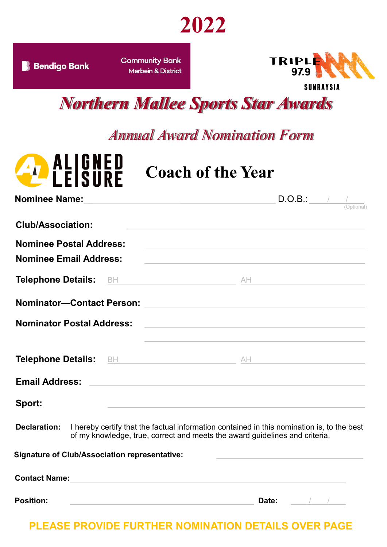

**B** Bendigo Bank

**Community Bank Merbein & District** 



*Northern Mallee Sports Star Awards*

*Annual Award Nomination Form*



## **Coach of the Year**

| Nominee Name: Mame: Manual Manual Manual Manual Manual Manual Manual Manual Manual Manual Manual Manual Manual | D.O.B.:<br>$\frac{1}{\sqrt{2\left( \text{Optional} \right)}}$                                                         |
|----------------------------------------------------------------------------------------------------------------|-----------------------------------------------------------------------------------------------------------------------|
| <b>Club/Association:</b>                                                                                       |                                                                                                                       |
| <b>Nominee Postal Address:</b>                                                                                 | <u> 1989 - Andrea State Barbara, amerikan personal di personal dengan personal dengan personal dengan personal de</u> |
| <b>Nominee Email Address:</b>                                                                                  | <u> Alexandria de la contrada de la contrada de la contrada de la contrada de la contrada de la contrada de la c</u>  |
|                                                                                                                |                                                                                                                       |
| Nominator-Contact Person: 2008 2009 2012 2022 2023 2024 2022 2023 2024 2022 2023 2024 2022 2023 2024 2022 2023 |                                                                                                                       |
| Nominator Postal Address: 2008 2010 2020 2021 2021 2022 2023 2024 2022 2023 2024 2022 2023 2024 2022 2023 2024 | <u> 1989 - Johann Stein, mars an deutscher Stein und der Stein und der Stein und der Stein und der Stein und der</u>  |
|                                                                                                                |                                                                                                                       |
|                                                                                                                |                                                                                                                       |
| Sport:                                                                                                         | <u> 1980 - Johann Barbara, martxa alemaniar argumento este alemaniar alemaniar alemaniar alemaniar alemaniar al</u>   |
| <b>Declaration:</b> I hereby certify that the factual information contained in this nomination is, to the best |                                                                                                                       |

of my knowledge, true, correct and meets the award guidelines and criteria.

**Signature of Club/Association representative:**

| <b>Contact Name:</b> |       |  |  |
|----------------------|-------|--|--|
|                      |       |  |  |
| <b>Position:</b>     | Date: |  |  |

**PLEASE PROVIDE FURTHER NOMINATION DETAILS OVER PAGE**